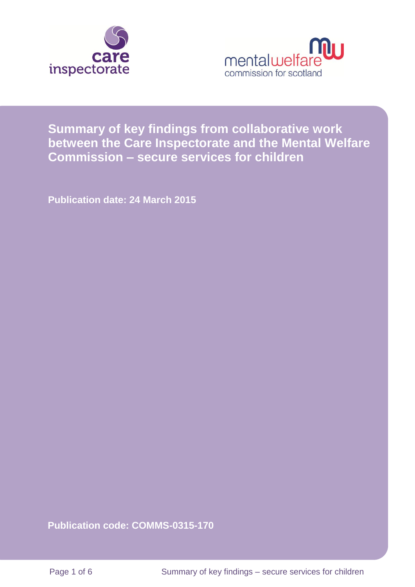



# **Summary of key findings from collaborative work between the Care Inspectorate and the Mental Welfare Commission – secure services for children**

**Publication date: 24 March 2015**

**Publication code: COMMS-0315-170**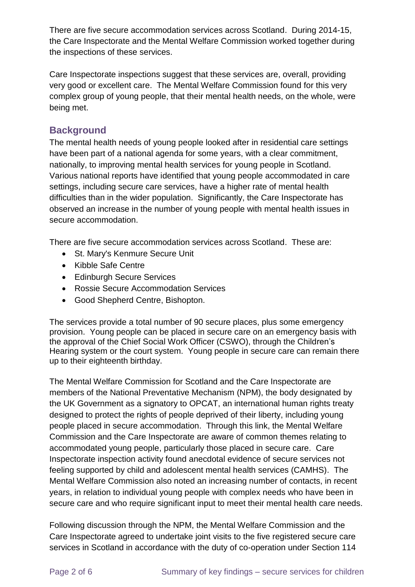There are five secure accommodation services across Scotland. During 2014-15, the Care Inspectorate and the Mental Welfare Commission worked together during the inspections of these services.

Care Inspectorate inspections suggest that these services are, overall, providing very good or excellent care. The Mental Welfare Commission found for this very complex group of young people, that their mental health needs, on the whole, were being met.

### **Background**

The mental health needs of young people looked after in residential care settings have been part of a national agenda for some years, with a clear commitment, nationally, to improving mental health services for young people in Scotland. Various national reports have identified that young people accommodated in care settings, including secure care services, have a higher rate of mental health difficulties than in the wider population. Significantly, the Care Inspectorate has observed an increase in the number of young people with mental health issues in secure accommodation.

There are five secure accommodation services across Scotland. These are:

- St. Mary's Kenmure Secure Unit
- Kibble Safe Centre
- Edinburgh Secure Services
- Rossie Secure Accommodation Services
- Good Shepherd Centre, Bishopton.

The services provide a total number of 90 secure places, plus some emergency provision. Young people can be placed in secure care on an emergency basis with the approval of the Chief Social Work Officer (CSWO), through the Children's Hearing system or the court system. Young people in secure care can remain there up to their eighteenth birthday.

The Mental Welfare Commission for Scotland and the Care Inspectorate are members of the National Preventative Mechanism (NPM), the body designated by the UK Government as a signatory to OPCAT, an international human rights treaty designed to protect the rights of people deprived of their liberty, including young people placed in secure accommodation. Through this link, the Mental Welfare Commission and the Care Inspectorate are aware of common themes relating to accommodated young people, particularly those placed in secure care. Care Inspectorate inspection activity found anecdotal evidence of secure services not feeling supported by child and adolescent mental health services (CAMHS). The Mental Welfare Commission also noted an increasing number of contacts, in recent years, in relation to individual young people with complex needs who have been in secure care and who require significant input to meet their mental health care needs.

Following discussion through the NPM, the Mental Welfare Commission and the Care Inspectorate agreed to undertake joint visits to the five registered secure care services in Scotland in accordance with the duty of co-operation under Section 114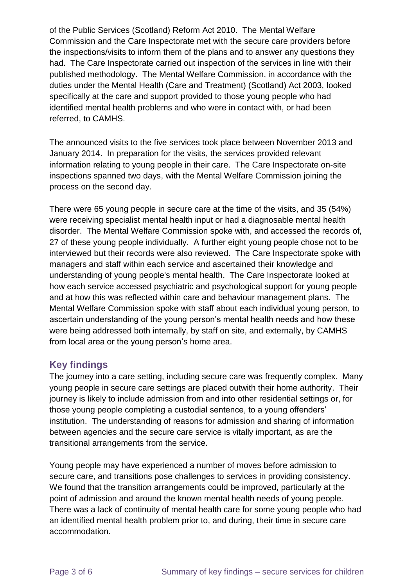of the Public Services (Scotland) Reform Act 2010. The Mental Welfare Commission and the Care Inspectorate met with the secure care providers before the inspections/visits to inform them of the plans and to answer any questions they had. The Care Inspectorate carried out inspection of the services in line with their published methodology. The Mental Welfare Commission, in accordance with the duties under the Mental Health (Care and Treatment) (Scotland) Act 2003, looked specifically at the care and support provided to those young people who had identified mental health problems and who were in contact with, or had been referred, to CAMHS.

The announced visits to the five services took place between November 2013 and January 2014. In preparation for the visits, the services provided relevant information relating to young people in their care. The Care Inspectorate on-site inspections spanned two days, with the Mental Welfare Commission joining the process on the second day.

There were 65 young people in secure care at the time of the visits, and 35 (54%) were receiving specialist mental health input or had a diagnosable mental health disorder. The Mental Welfare Commission spoke with, and accessed the records of, 27 of these young people individually. A further eight young people chose not to be interviewed but their records were also reviewed. The Care Inspectorate spoke with managers and staff within each service and ascertained their knowledge and understanding of young people's mental health. The Care Inspectorate looked at how each service accessed psychiatric and psychological support for young people and at how this was reflected within care and behaviour management plans. The Mental Welfare Commission spoke with staff about each individual young person, to ascertain understanding of the young person's mental health needs and how these were being addressed both internally, by staff on site, and externally, by CAMHS from local area or the young person's home area.

#### **Key findings**

The journey into a care setting, including secure care was frequently complex. Many young people in secure care settings are placed outwith their home authority. Their journey is likely to include admission from and into other residential settings or, for those young people completing a custodial sentence, to a young offenders' institution. The understanding of reasons for admission and sharing of information between agencies and the secure care service is vitally important, as are the transitional arrangements from the service.

Young people may have experienced a number of moves before admission to secure care, and transitions pose challenges to services in providing consistency. We found that the transition arrangements could be improved, particularly at the point of admission and around the known mental health needs of young people. There was a lack of continuity of mental health care for some young people who had an identified mental health problem prior to, and during, their time in secure care accommodation.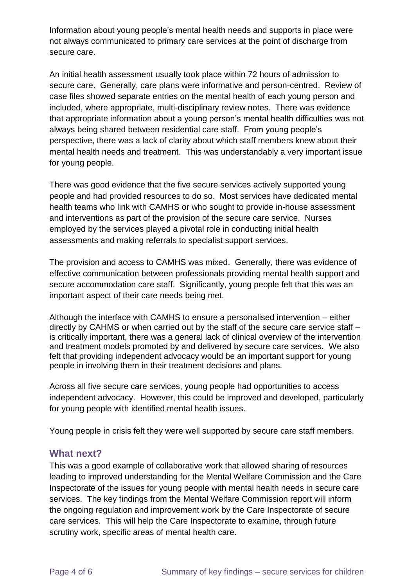Information about young people's mental health needs and supports in place were not always communicated to primary care services at the point of discharge from secure care.

An initial health assessment usually took place within 72 hours of admission to secure care. Generally, care plans were informative and person-centred. Review of case files showed separate entries on the mental health of each young person and included, where appropriate, multi-disciplinary review notes. There was evidence that appropriate information about a young person's mental health difficulties was not always being shared between residential care staff. From young people's perspective, there was a lack of clarity about which staff members knew about their mental health needs and treatment. This was understandably a very important issue for young people.

There was good evidence that the five secure services actively supported young people and had provided resources to do so. Most services have dedicated mental health teams who link with CAMHS or who sought to provide in-house assessment and interventions as part of the provision of the secure care service. Nurses employed by the services played a pivotal role in conducting initial health assessments and making referrals to specialist support services.

The provision and access to CAMHS was mixed. Generally, there was evidence of effective communication between professionals providing mental health support and secure accommodation care staff. Significantly, young people felt that this was an important aspect of their care needs being met.

Although the interface with CAMHS to ensure a personalised intervention – either directly by CAHMS or when carried out by the staff of the secure care service staff – is critically important, there was a general lack of clinical overview of the intervention and treatment models promoted by and delivered by secure care services. We also felt that providing independent advocacy would be an important support for young people in involving them in their treatment decisions and plans.

Across all five secure care services, young people had opportunities to access independent advocacy. However, this could be improved and developed, particularly for young people with identified mental health issues.

Young people in crisis felt they were well supported by secure care staff members.

#### **What next?**

This was a good example of collaborative work that allowed sharing of resources leading to improved understanding for the Mental Welfare Commission and the Care Inspectorate of the issues for young people with mental health needs in secure care services. The key findings from the Mental Welfare Commission report will inform the ongoing regulation and improvement work by the Care Inspectorate of secure care services. This will help the Care Inspectorate to examine, through future scrutiny work, specific areas of mental health care.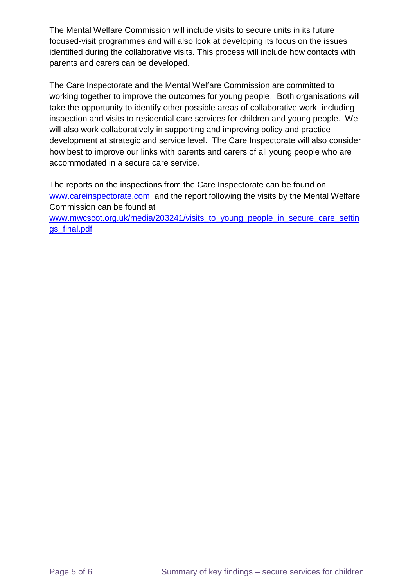The Mental Welfare Commission will include visits to secure units in its future focused-visit programmes and will also look at developing its focus on the issues identified during the collaborative visits. This process will include how contacts with parents and carers can be developed.

The Care Inspectorate and the Mental Welfare Commission are committed to working together to improve the outcomes for young people. Both organisations will take the opportunity to identify other possible areas of collaborative work, including inspection and visits to residential care services for children and young people. We will also work collaboratively in supporting and improving policy and practice development at strategic and service level. The Care Inspectorate will also consider how best to improve our links with parents and carers of all young people who are accommodated in a secure care service.

The reports on the inspections from the Care Inspectorate can be found on [www.careinspectorate.com](http://www.careinsepctorate.com/) and the report following the visits by the Mental Welfare Commission can be found at

[www.mwcscot.org.uk/media/203241/visits\\_to\\_young\\_people\\_in\\_secure\\_care\\_settin](http://www.mwcscot.org.uk/media/203241/visits_to_young_people_in_secure_care_settings_final.pdf) [gs\\_final.pdf](http://www.mwcscot.org.uk/media/203241/visits_to_young_people_in_secure_care_settings_final.pdf)